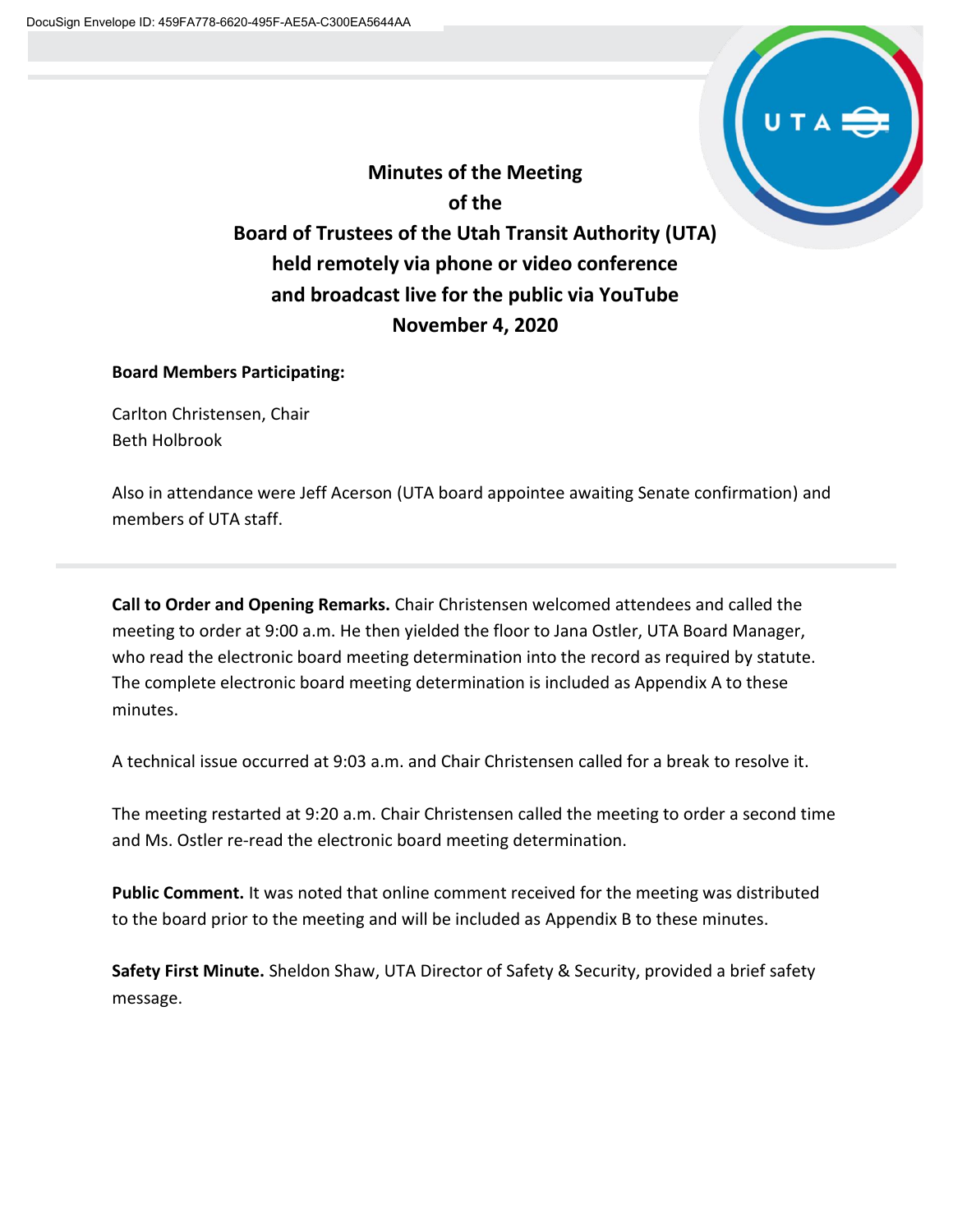

**Minutes of the Meeting of the Board of Trustees of the Utah Transit Authority (UTA) held remotely via phone or video conference and broadcast live for the public via YouTube November 4, 2020**

# **Board Members Participating:**

Carlton Christensen, Chair Beth Holbrook

Also in attendance were Jeff Acerson (UTA board appointee awaiting Senate confirmation) and members of UTA staff.

**Call to Order and Opening Remarks.** Chair Christensen welcomed attendees and called the meeting to order at 9:00 a.m. He then yielded the floor to Jana Ostler, UTA Board Manager, who read the electronic board meeting determination into the record as required by statute. The complete electronic board meeting determination is included as Appendix A to these minutes.

A technical issue occurred at 9:03 a.m. and Chair Christensen called for a break to resolve it.

The meeting restarted at 9:20 a.m. Chair Christensen called the meeting to order a second time and Ms. Ostler re-read the electronic board meeting determination.

**Public Comment.** It was noted that online comment received for the meeting was distributed to the board prior to the meeting and will be included as Appendix B to these minutes.

**Safety First Minute.** Sheldon Shaw, UTA Director of Safety & Security, provided a brief safety message.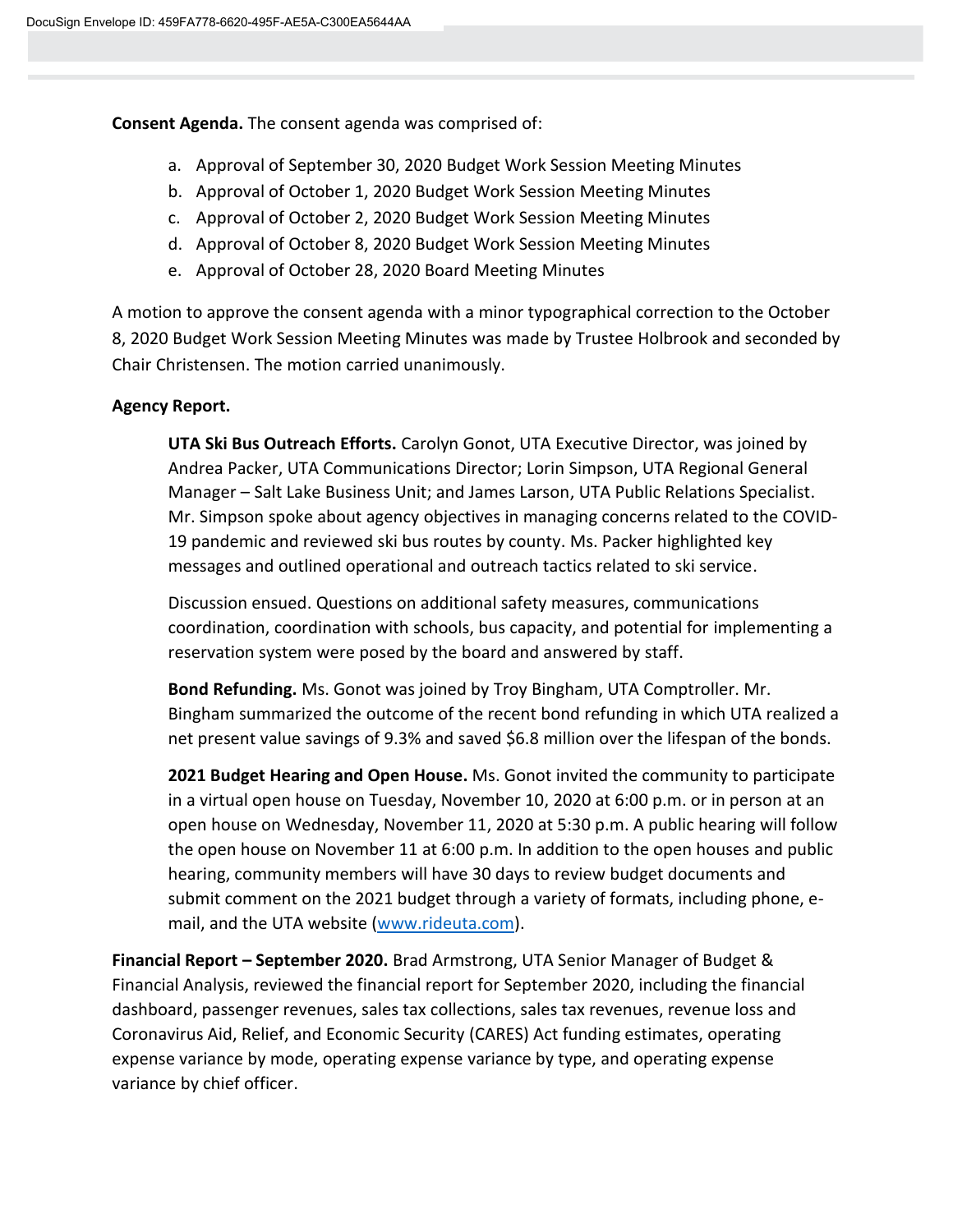**Consent Agenda.** The consent agenda was comprised of:

- a. Approval of September 30, 2020 Budget Work Session Meeting Minutes
- b. Approval of October 1, 2020 Budget Work Session Meeting Minutes
- c. Approval of October 2, 2020 Budget Work Session Meeting Minutes
- d. Approval of October 8, 2020 Budget Work Session Meeting Minutes
- e. Approval of October 28, 2020 Board Meeting Minutes

A motion to approve the consent agenda with a minor typographical correction to the October 8, 2020 Budget Work Session Meeting Minutes was made by Trustee Holbrook and seconded by Chair Christensen. The motion carried unanimously.

## **Agency Report.**

**UTA Ski Bus Outreach Efforts.** Carolyn Gonot, UTA Executive Director, was joined by Andrea Packer, UTA Communications Director; Lorin Simpson, UTA Regional General Manager – Salt Lake Business Unit; and James Larson, UTA Public Relations Specialist. Mr. Simpson spoke about agency objectives in managing concerns related to the COVID-19 pandemic and reviewed ski bus routes by county. Ms. Packer highlighted key messages and outlined operational and outreach tactics related to ski service.

Discussion ensued. Questions on additional safety measures, communications coordination, coordination with schools, bus capacity, and potential for implementing a reservation system were posed by the board and answered by staff.

**Bond Refunding.** Ms. Gonot was joined by Troy Bingham, UTA Comptroller. Mr. Bingham summarized the outcome of the recent bond refunding in which UTA realized a net present value savings of 9.3% and saved \$6.8 million over the lifespan of the bonds.

**2021 Budget Hearing and Open House.** Ms. Gonot invited the community to participate in a virtual open house on Tuesday, November 10, 2020 at 6:00 p.m. or in person at an open house on Wednesday, November 11, 2020 at 5:30 p.m. A public hearing will follow the open house on November 11 at 6:00 p.m. In addition to the open houses and public hearing, community members will have 30 days to review budget documents and submit comment on the 2021 budget through a variety of formats, including phone, email, and the UTA website [\(www.rideuta.com\)](http://www.rideuta.com/).

**Financial Report – September 2020.** Brad Armstrong, UTA Senior Manager of Budget & Financial Analysis, reviewed the financial report for September 2020, including the financial dashboard, passenger revenues, sales tax collections, sales tax revenues, revenue loss and Coronavirus Aid, Relief, and Economic Security (CARES) Act funding estimates, operating expense variance by mode, operating expense variance by type, and operating expense variance by chief officer.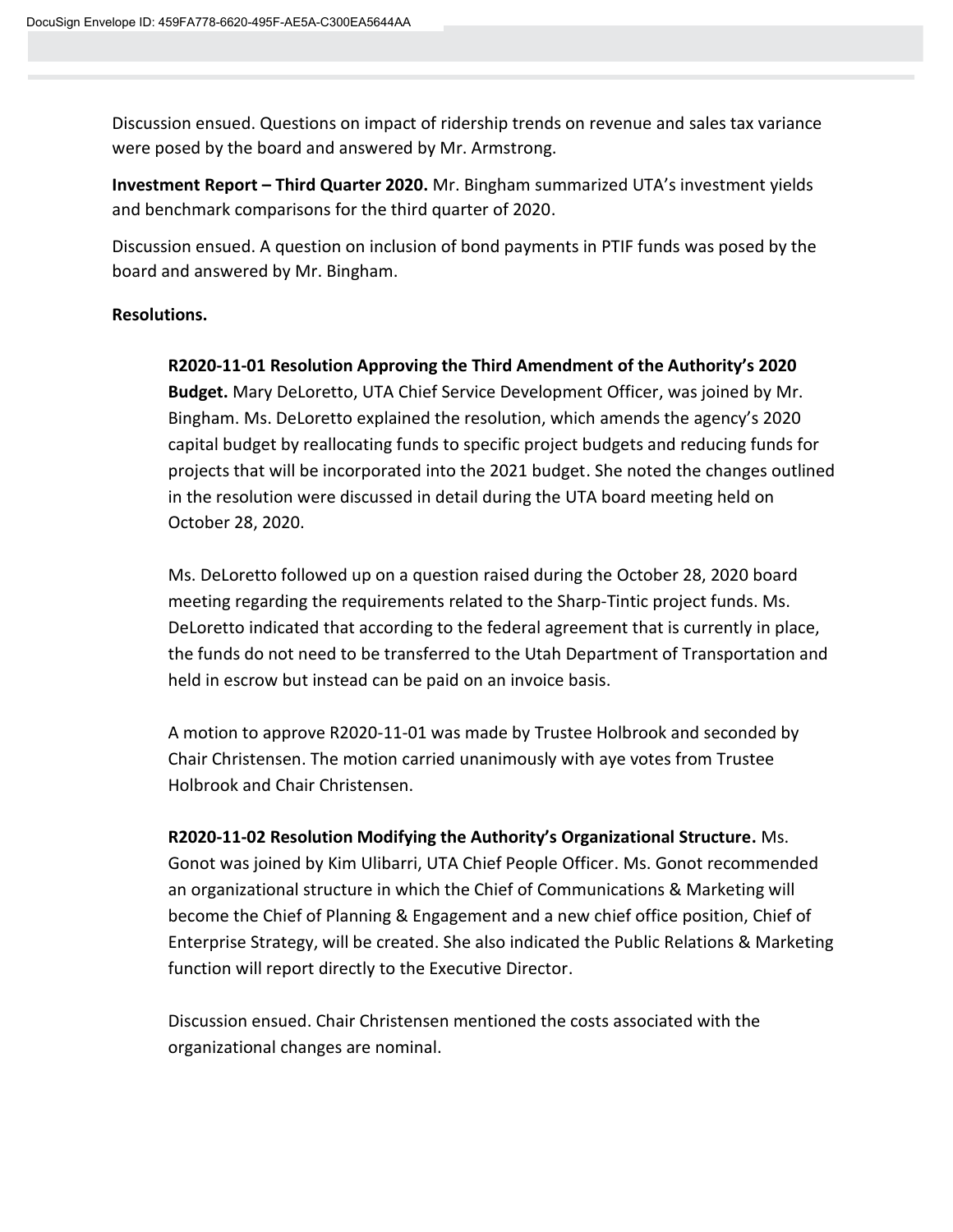Discussion ensued. Questions on impact of ridership trends on revenue and sales tax variance were posed by the board and answered by Mr. Armstrong.

**Investment Report – Third Quarter 2020.** Mr. Bingham summarized UTA's investment yields and benchmark comparisons for the third quarter of 2020.

Discussion ensued. A question on inclusion of bond payments in PTIF funds was posed by the board and answered by Mr. Bingham.

# **Resolutions.**

**R2020-11-01 Resolution Approving the Third Amendment of the Authority's 2020 Budget.** Mary DeLoretto, UTA Chief Service Development Officer, was joined by Mr. Bingham. Ms. DeLoretto explained the resolution, which amends the agency's 2020 capital budget by reallocating funds to specific project budgets and reducing funds for projects that will be incorporated into the 2021 budget. She noted the changes outlined in the resolution were discussed in detail during the UTA board meeting held on October 28, 2020.

Ms. DeLoretto followed up on a question raised during the October 28, 2020 board meeting regarding the requirements related to the Sharp-Tintic project funds. Ms. DeLoretto indicated that according to the federal agreement that is currently in place, the funds do not need to be transferred to the Utah Department of Transportation and held in escrow but instead can be paid on an invoice basis.

A motion to approve R2020-11-01 was made by Trustee Holbrook and seconded by Chair Christensen. The motion carried unanimously with aye votes from Trustee Holbrook and Chair Christensen.

**R2020-11-02 Resolution Modifying the Authority's Organizational Structure.** Ms. Gonot was joined by Kim Ulibarri, UTA Chief People Officer. Ms. Gonot recommended an organizational structure in which the Chief of Communications & Marketing will become the Chief of Planning & Engagement and a new chief office position, Chief of Enterprise Strategy, will be created. She also indicated the Public Relations & Marketing function will report directly to the Executive Director.

Discussion ensued. Chair Christensen mentioned the costs associated with the organizational changes are nominal.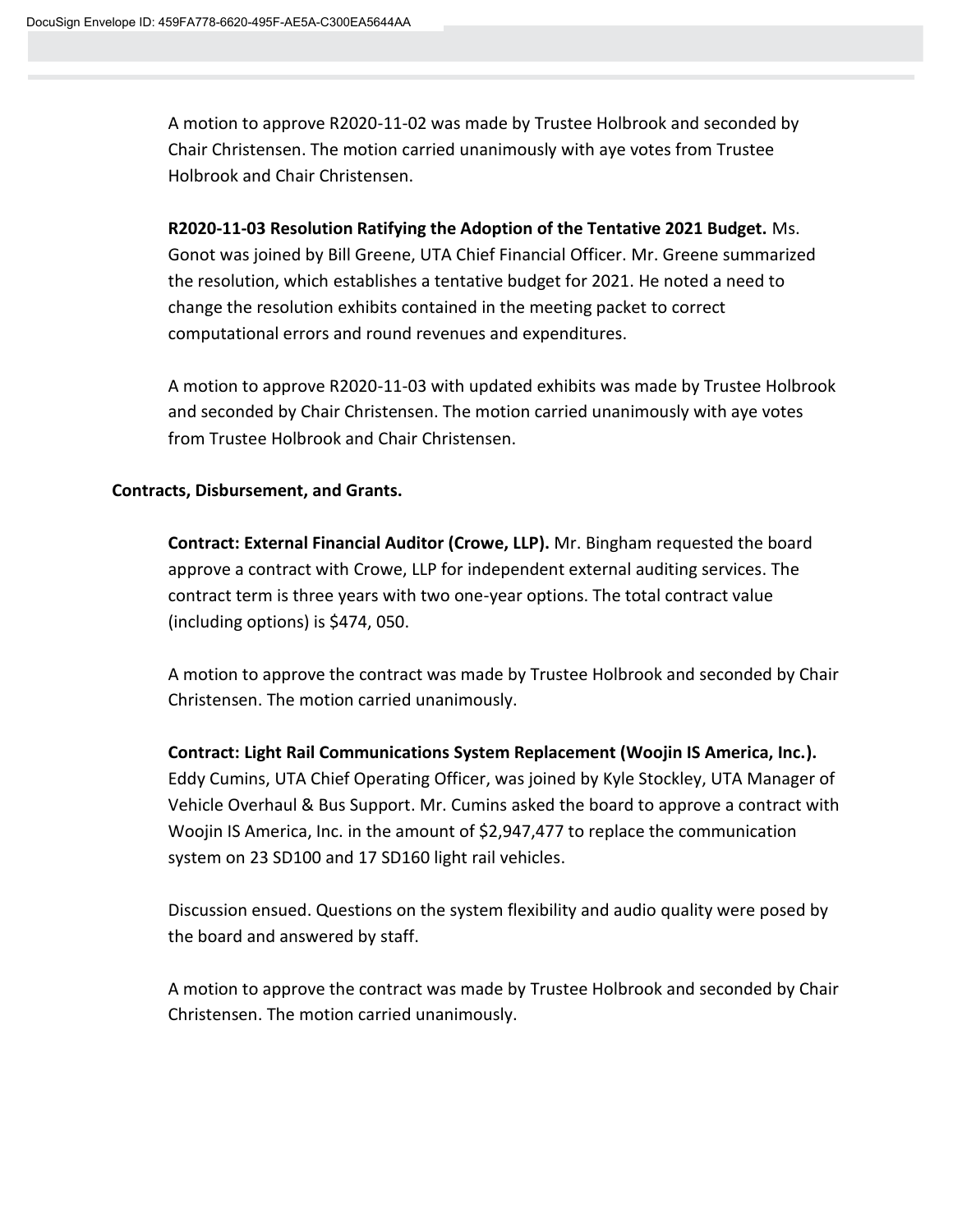A motion to approve R2020-11-02 was made by Trustee Holbrook and seconded by Chair Christensen. The motion carried unanimously with aye votes from Trustee Holbrook and Chair Christensen.

**R2020-11-03 Resolution Ratifying the Adoption of the Tentative 2021 Budget.** Ms. Gonot was joined by Bill Greene, UTA Chief Financial Officer. Mr. Greene summarized the resolution, which establishes a tentative budget for 2021. He noted a need to change the resolution exhibits contained in the meeting packet to correct computational errors and round revenues and expenditures.

A motion to approve R2020-11-03 with updated exhibits was made by Trustee Holbrook and seconded by Chair Christensen. The motion carried unanimously with aye votes from Trustee Holbrook and Chair Christensen.

## **Contracts, Disbursement, and Grants.**

**Contract: External Financial Auditor (Crowe, LLP).** Mr. Bingham requested the board approve a contract with Crowe, LLP for independent external auditing services. The contract term is three years with two one-year options. The total contract value (including options) is \$474, 050.

A motion to approve the contract was made by Trustee Holbrook and seconded by Chair Christensen. The motion carried unanimously.

**Contract: Light Rail Communications System Replacement (Woojin IS America, Inc.).**  Eddy Cumins, UTA Chief Operating Officer, was joined by Kyle Stockley, UTA Manager of Vehicle Overhaul & Bus Support. Mr. Cumins asked the board to approve a contract with Woojin IS America, Inc. in the amount of \$2,947,477 to replace the communication system on 23 SD100 and 17 SD160 light rail vehicles.

Discussion ensued. Questions on the system flexibility and audio quality were posed by the board and answered by staff.

A motion to approve the contract was made by Trustee Holbrook and seconded by Chair Christensen. The motion carried unanimously.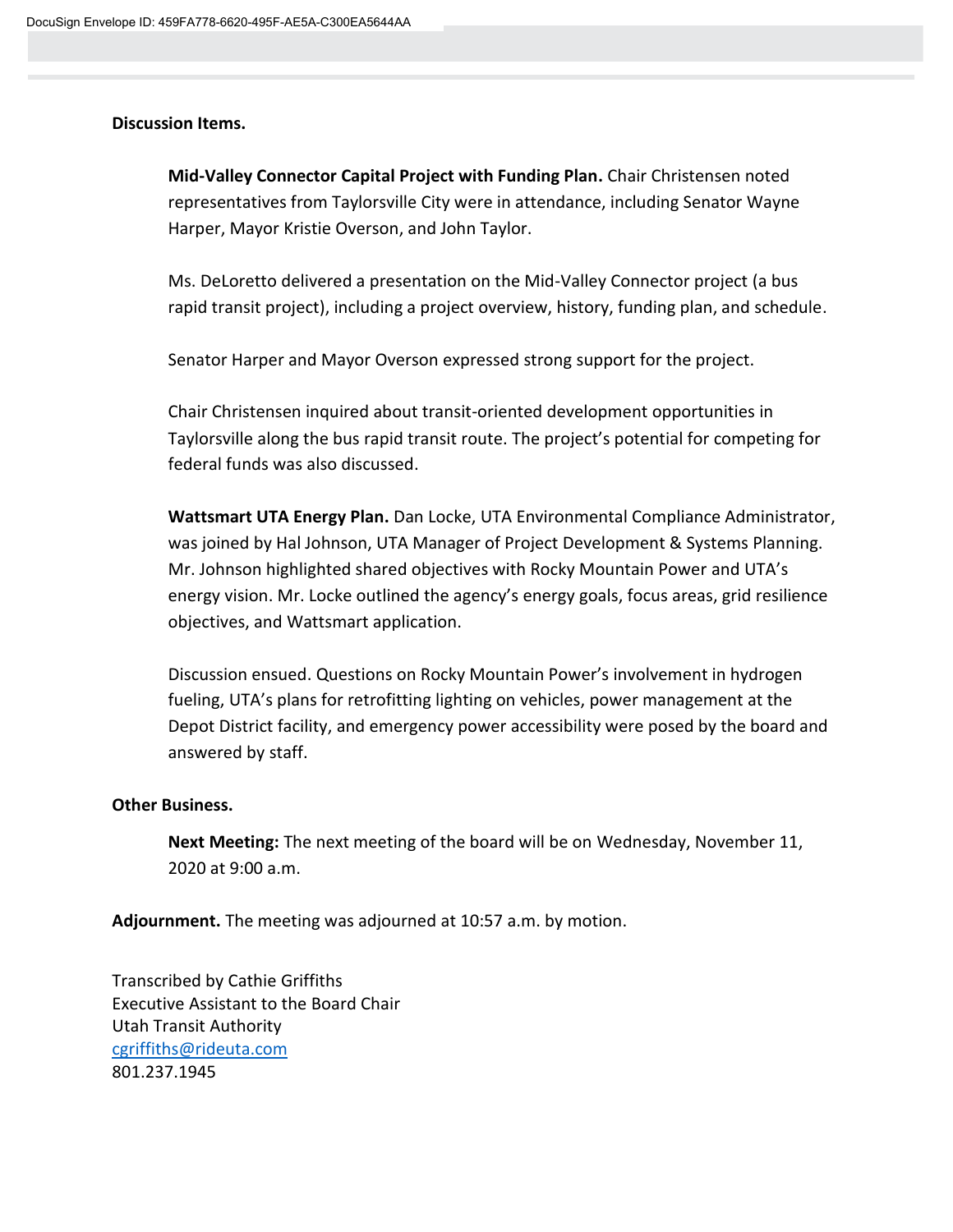## **Discussion Items.**

**Mid-Valley Connector Capital Project with Funding Plan.** Chair Christensen noted representatives from Taylorsville City were in attendance, including Senator Wayne Harper, Mayor Kristie Overson, and John Taylor.

Ms. DeLoretto delivered a presentation on the Mid-Valley Connector project (a bus rapid transit project), including a project overview, history, funding plan, and schedule.

Senator Harper and Mayor Overson expressed strong support for the project.

Chair Christensen inquired about transit-oriented development opportunities in Taylorsville along the bus rapid transit route. The project's potential for competing for federal funds was also discussed.

**Wattsmart UTA Energy Plan.** Dan Locke, UTA Environmental Compliance Administrator, was joined by Hal Johnson, UTA Manager of Project Development & Systems Planning. Mr. Johnson highlighted shared objectives with Rocky Mountain Power and UTA's energy vision. Mr. Locke outlined the agency's energy goals, focus areas, grid resilience objectives, and Wattsmart application.

Discussion ensued. Questions on Rocky Mountain Power's involvement in hydrogen fueling, UTA's plans for retrofitting lighting on vehicles, power management at the Depot District facility, and emergency power accessibility were posed by the board and answered by staff.

## **Other Business.**

**Next Meeting:** The next meeting of the board will be on Wednesday, November 11, 2020 at 9:00 a.m.

**Adjournment.** The meeting was adjourned at 10:57 a.m. by motion.

Transcribed by Cathie Griffiths Executive Assistant to the Board Chair Utah Transit Authority [cgriffiths@rideuta.com](mailto:cgriffiths@rideuta.com) 801.237.1945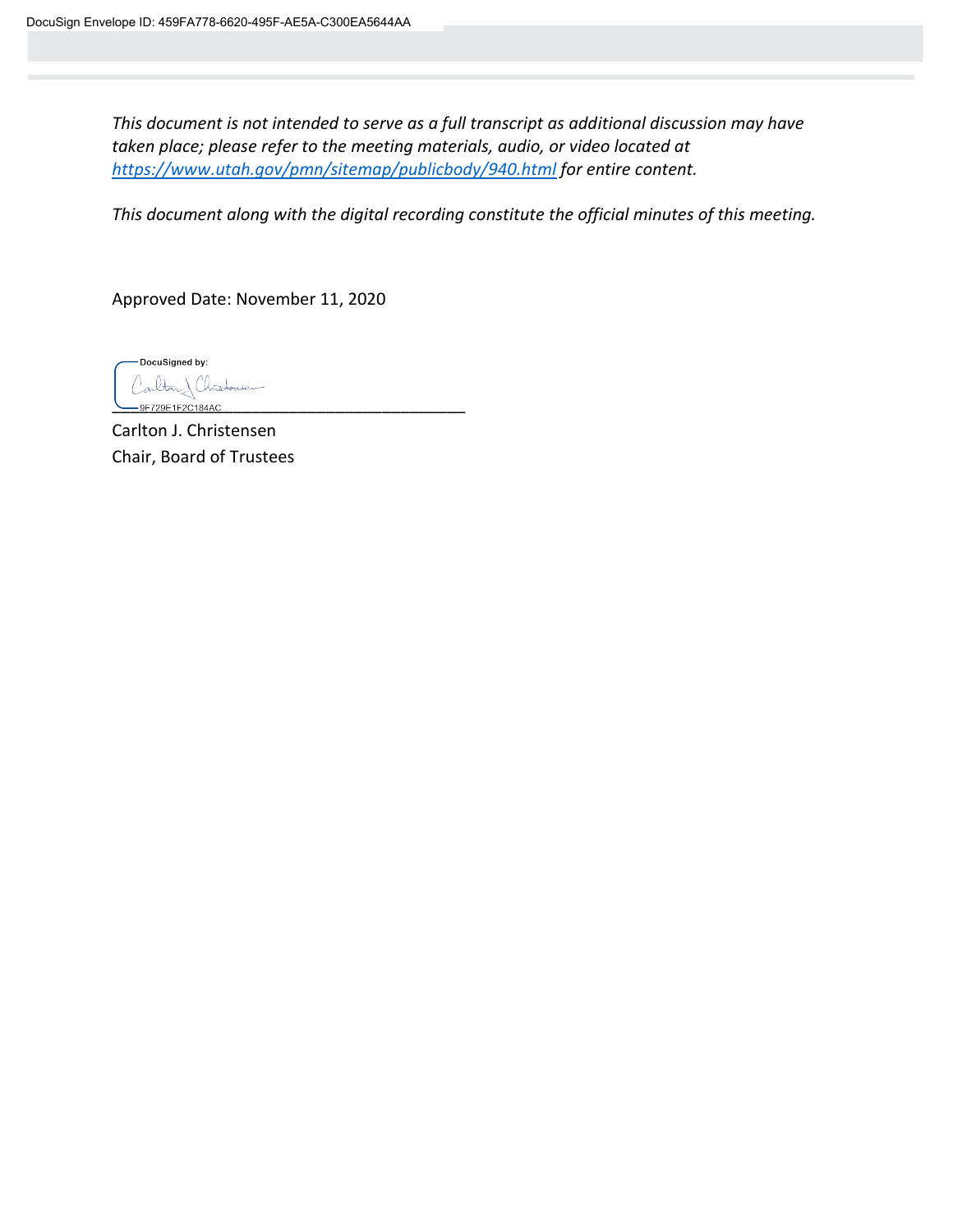*This document is not intended to serve as a full transcript as additional discussion may have taken place; please refer to the meeting materials, audio, or video located at <https://www.utah.gov/pmn/sitemap/publicbody/940.html> for entire content.*

*This document along with the digital recording constitute the official minutes of this meeting.*

Approved Date: November 11, 2020

DocuSigned by: arlton) Christonien -9F729E1F2C184AC.

Carlton J. Christensen Chair, Board of Trustees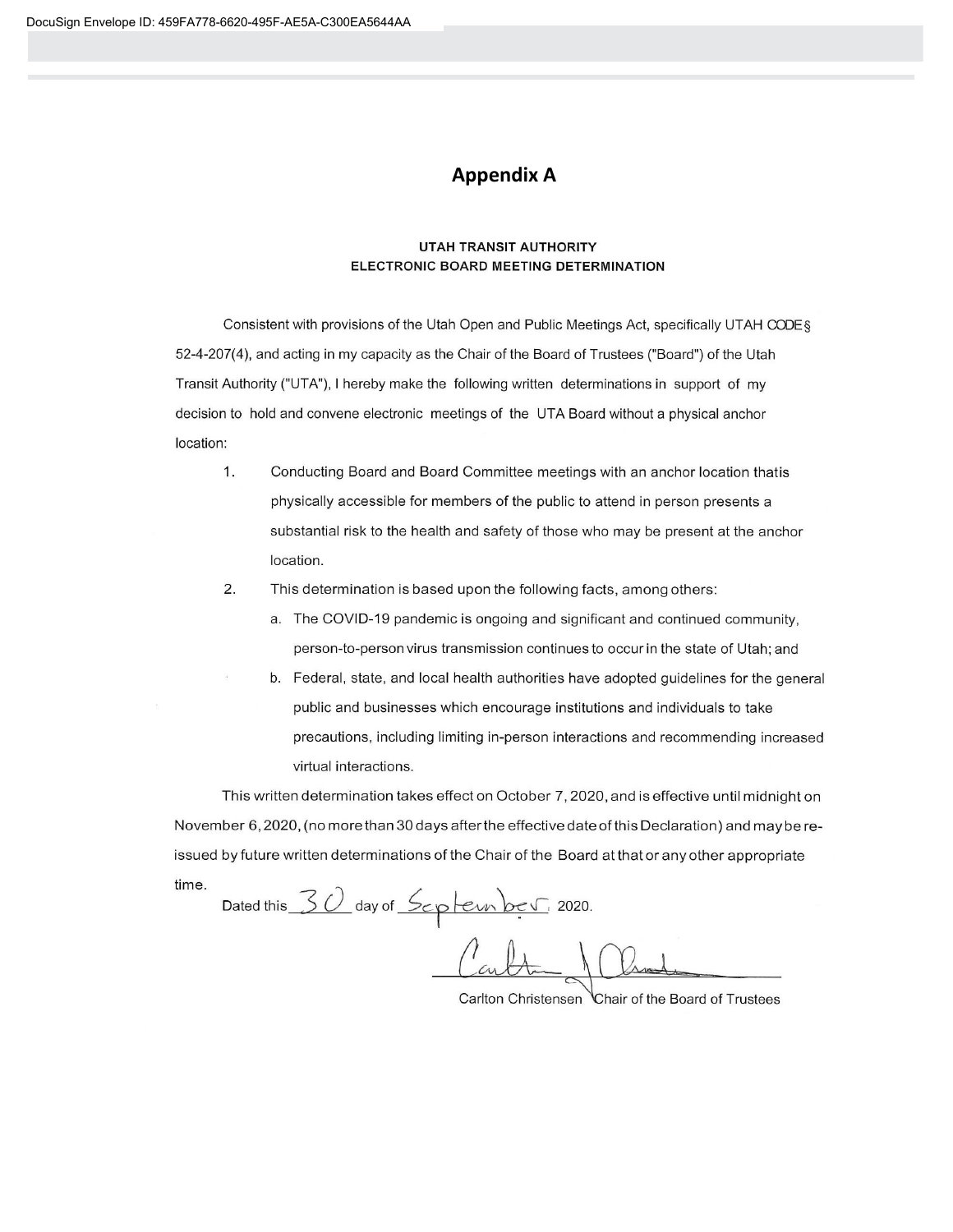# **Appendix A**

#### **UTAH TRANSIT AUTHORITY** ELECTRONIC BOARD MEETING DETERMINATION

Consistent with provisions of the Utah Open and Public Meetings Act, specifically UTAH CODE § 52-4-207(4), and acting in my capacity as the Chair of the Board of Trustees ("Board") of the Utah Transit Authority ("UTA"), I hereby make the following written determinations in support of my decision to hold and convene electronic meetings of the UTA Board without a physical anchor location:

- 1. Conducting Board and Board Committee meetings with an anchor location thatis physically accessible for members of the public to attend in person presents a substantial risk to the health and safety of those who may be present at the anchor location.
- $2.$ This determination is based upon the following facts, among others:
	- a. The COVID-19 pandemic is ongoing and significant and continued community, person-to-person virus transmission continues to occur in the state of Utah; and
	- b. Federal, state, and local health authorities have adopted guidelines for the general public and businesses which encourage institutions and individuals to take precautions, including limiting in-person interactions and recommending increased virtual interactions.

This written determination takes effect on October 7, 2020, and is effective until midnight on November 6, 2020, (no more than 30 days after the effective date of this Declaration) and may be reissued by future written determinations of the Chair of the Board at that or any other appropriate time.

Dated this 30 day of September 2020.

Carlton Christensen Chair of the Board of Trustees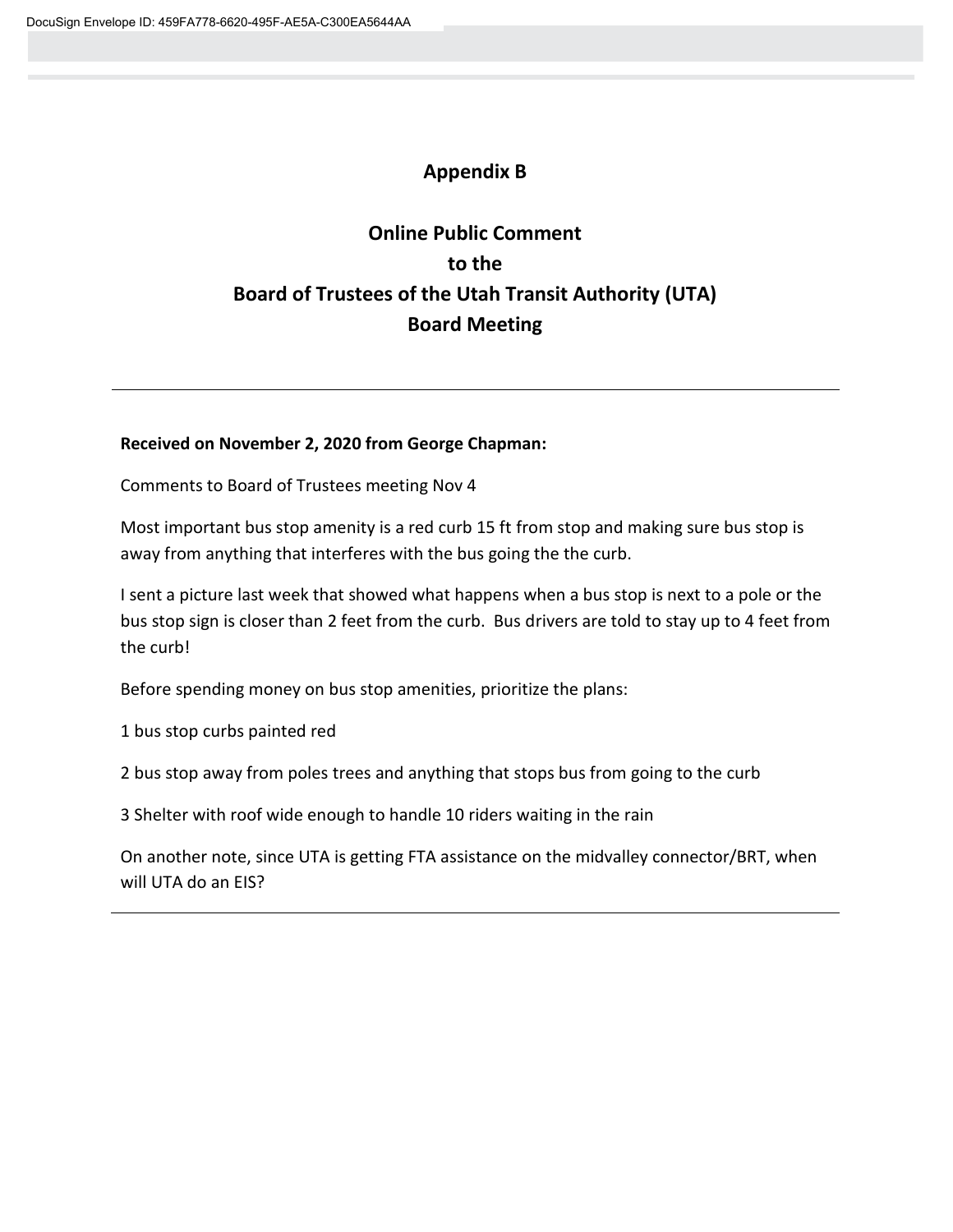# **Appendix B**

# **Online Public Comment to the Board of Trustees of the Utah Transit Authority (UTA) Board Meeting**

## **Received on November 2, 2020 from George Chapman:**

Comments to Board of Trustees meeting Nov 4

Most important bus stop amenity is a red curb 15 ft from stop and making sure bus stop is away from anything that interferes with the bus going the the curb.

I sent a picture last week that showed what happens when a bus stop is next to a pole or the bus stop sign is closer than 2 feet from the curb. Bus drivers are told to stay up to 4 feet from the curb!

Before spending money on bus stop amenities, prioritize the plans:

1 bus stop curbs painted red

2 bus stop away from poles trees and anything that stops bus from going to the curb

3 Shelter with roof wide enough to handle 10 riders waiting in the rain

On another note, since UTA is getting FTA assistance on the midvalley connector/BRT, when will UTA do an EIS?